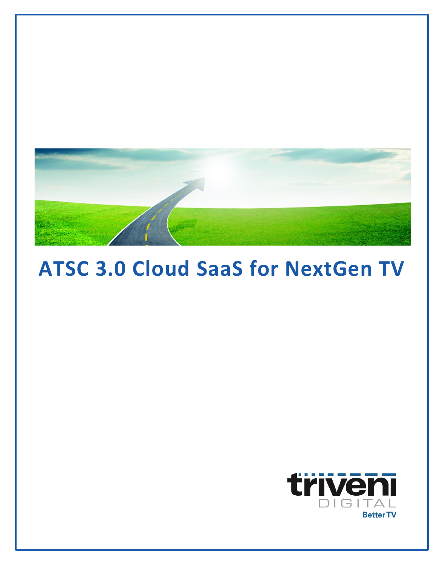

# **ATSC 3.0 Cloud SaaS for NextGen TV**

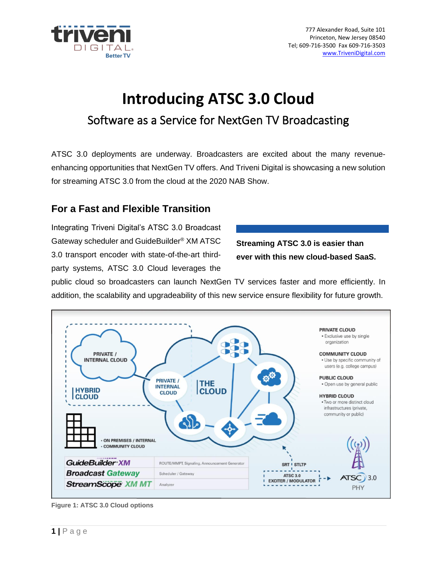

# **Introducing ATSC 3.0 Cloud** Software as a Service for NextGen TV Broadcasting

ATSC 3.0 deployments are underway. Broadcasters are excited about the many revenueenhancing opportunities that NextGen TV offers. And Triveni Digital is showcasing a new solution for streaming ATSC 3.0 from the cloud at the 2020 NAB Show.

## **For a Fast and Flexible Transition**

Integrating Triveni Digital's ATSC 3.0 Broadcast Gateway scheduler and GuideBuilder® XM ATSC 3.0 transport encoder with state-of-the-art thirdparty systems, ATSC 3.0 Cloud leverages the

**Streaming ATSC 3.0 is easier than ever with this new cloud-based SaaS.**

public cloud so broadcasters can launch NextGen TV services faster and more efficiently. In addition, the scalability and upgradeability of this new service ensure flexibility for future growth.



**Figure 1: ATSC 3.0 Cloud options**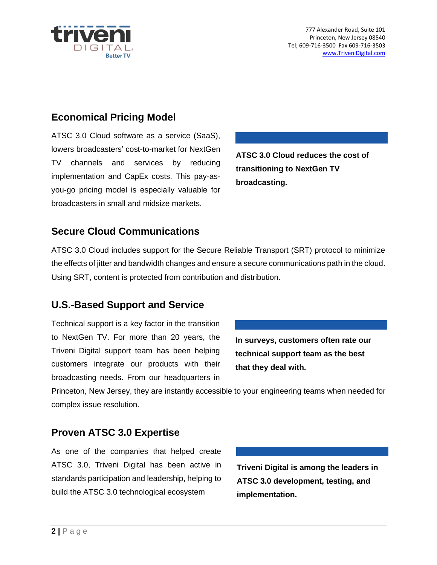

## **Economical Pricing Model**

ATSC 3.0 Cloud software as a service (SaaS), lowers broadcasters' cost-to-market for NextGen TV channels and services by reducing implementation and CapEx costs. This pay-asyou-go pricing model is especially valuable for broadcasters in small and midsize markets.

**ATSC 3.0 Cloud reduces the cost of transitioning to NextGen TV broadcasting.**

#### **Secure Cloud Communications**

ATSC 3.0 Cloud includes support for the Secure Reliable Transport (SRT) protocol to minimize the effects of jitter and bandwidth changes and ensure a secure communications path in the cloud. Using SRT, content is protected from contribution and distribution.

#### **U.S.-Based Support and Service**

Technical support is a key factor in the transition to NextGen TV. For more than 20 years, the Triveni Digital support team has been helping customers integrate our products with their broadcasting needs. From our headquarters in

**In surveys, customers often rate our technical support team as the best that they deal with.**

Princeton, New Jersey, they are instantly accessible to your engineering teams when needed for complex issue resolution.

#### **Proven ATSC 3.0 Expertise**

As one of the companies that helped create ATSC 3.0, Triveni Digital has been active in standards participation and leadership, helping to build the ATSC 3.0 technological ecosystem

**Triveni Digital is among the leaders in ATSC 3.0 development, testing, and implementation.**